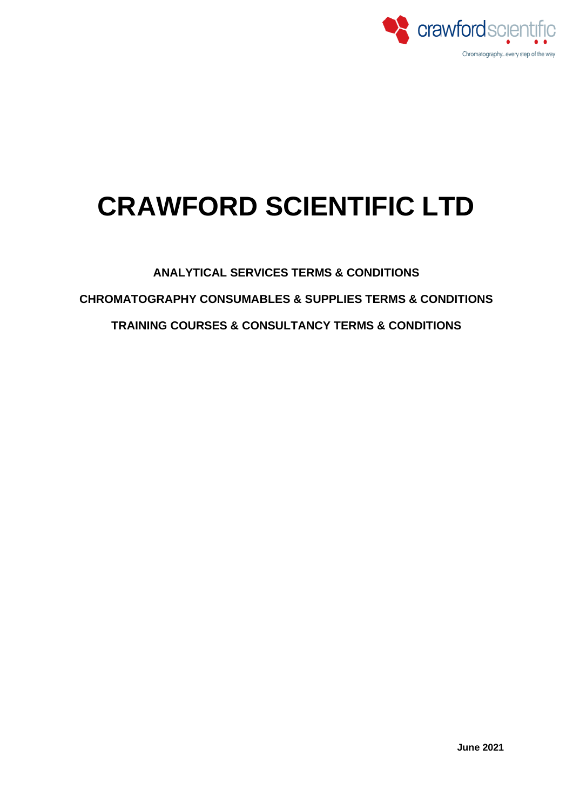

# **CRAWFORD SCIENTIFIC LTD**

**ANALYTICAL SERVICES TERMS & CONDITIONS**

**CHROMATOGRAPHY CONSUMABLES & SUPPLIES TERMS & CONDITIONS**

**TRAINING COURSES & CONSULTANCY TERMS & CONDITIONS**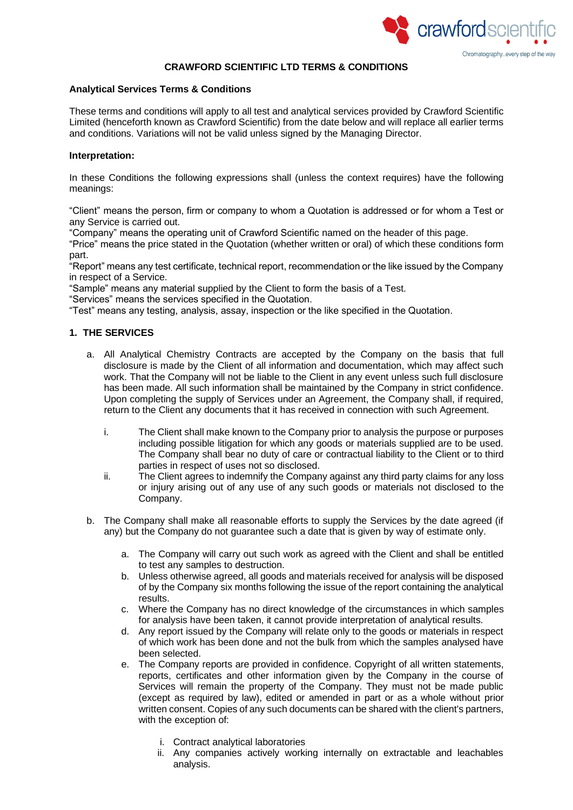

## **CRAWFORD SCIENTIFIC LTD TERMS & CONDITIONS**

## **Analytical Services Terms & Conditions**

These terms and conditions will apply to all test and analytical services provided by Crawford Scientific Limited (henceforth known as Crawford Scientific) from the date below and will replace all earlier terms and conditions. Variations will not be valid unless signed by the Managing Director.

# **Interpretation:**

In these Conditions the following expressions shall (unless the context requires) have the following meanings:

"Client" means the person, firm or company to whom a Quotation is addressed or for whom a Test or any Service is carried out.

"Company" means the operating unit of Crawford Scientific named on the header of this page.

"Price" means the price stated in the Quotation (whether written or oral) of which these conditions form part.

"Report" means any test certificate, technical report, recommendation or the like issued by the Company in respect of a Service.

"Sample" means any material supplied by the Client to form the basis of a Test.

"Services" means the services specified in the Quotation.

"Test" means any testing, analysis, assay, inspection or the like specified in the Quotation.

# **1. THE SERVICES**

- a. All Analytical Chemistry Contracts are accepted by the Company on the basis that full disclosure is made by the Client of all information and documentation, which may affect such work. That the Company will not be liable to the Client in any event unless such full disclosure has been made. All such information shall be maintained by the Company in strict confidence. Upon completing the supply of Services under an Agreement, the Company shall, if required, return to the Client any documents that it has received in connection with such Agreement.
	- i. The Client shall make known to the Company prior to analysis the purpose or purposes including possible litigation for which any goods or materials supplied are to be used. The Company shall bear no duty of care or contractual liability to the Client or to third parties in respect of uses not so disclosed.
	- ii. The Client agrees to indemnify the Company against any third party claims for any loss or injury arising out of any use of any such goods or materials not disclosed to the Company.
- b. The Company shall make all reasonable efforts to supply the Services by the date agreed (if any) but the Company do not guarantee such a date that is given by way of estimate only.
	- a. The Company will carry out such work as agreed with the Client and shall be entitled to test any samples to destruction.
	- b. Unless otherwise agreed, all goods and materials received for analysis will be disposed of by the Company six months following the issue of the report containing the analytical results.
	- c. Where the Company has no direct knowledge of the circumstances in which samples for analysis have been taken, it cannot provide interpretation of analytical results.
	- d. Any report issued by the Company will relate only to the goods or materials in respect of which work has been done and not the bulk from which the samples analysed have been selected.
	- e. The Company reports are provided in confidence. Copyright of all written statements, reports, certificates and other information given by the Company in the course of Services will remain the property of the Company. They must not be made public (except as required by law), edited or amended in part or as a whole without prior written consent. Copies of any such documents can be shared with the client's partners, with the exception of:
		- i. Contract analytical laboratories
		- ii. Any companies actively working internally on extractable and leachables analysis.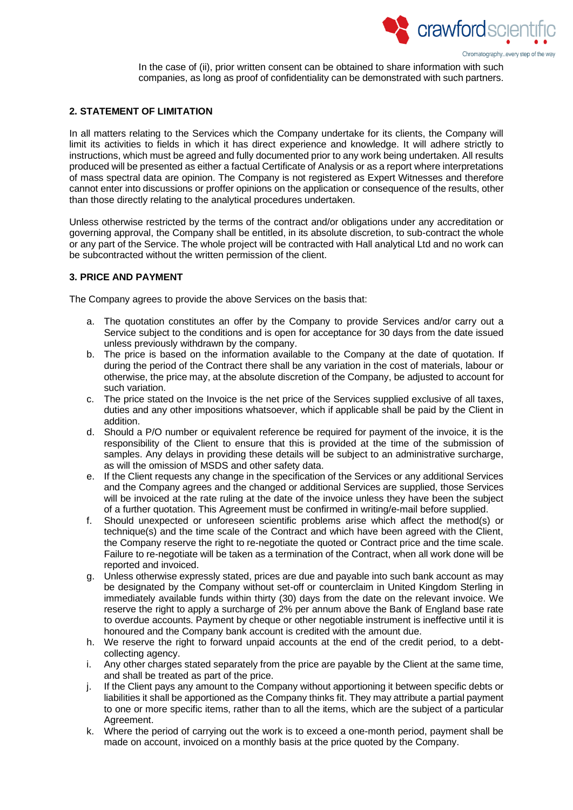

In the case of (ii), prior written consent can be obtained to share information with such companies, as long as proof of confidentiality can be demonstrated with such partners.

# **2. STATEMENT OF LIMITATION**

In all matters relating to the Services which the Company undertake for its clients, the Company will limit its activities to fields in which it has direct experience and knowledge. It will adhere strictly to instructions, which must be agreed and fully documented prior to any work being undertaken. All results produced will be presented as either a factual Certificate of Analysis or as a report where interpretations of mass spectral data are opinion. The Company is not registered as Expert Witnesses and therefore cannot enter into discussions or proffer opinions on the application or consequence of the results, other than those directly relating to the analytical procedures undertaken.

Unless otherwise restricted by the terms of the contract and/or obligations under any accreditation or governing approval, the Company shall be entitled, in its absolute discretion, to sub-contract the whole or any part of the Service. The whole project will be contracted with Hall analytical Ltd and no work can be subcontracted without the written permission of the client.

# **3. PRICE AND PAYMENT**

The Company agrees to provide the above Services on the basis that:

- a. The quotation constitutes an offer by the Company to provide Services and/or carry out a Service subject to the conditions and is open for acceptance for 30 days from the date issued unless previously withdrawn by the company.
- b. The price is based on the information available to the Company at the date of quotation. If during the period of the Contract there shall be any variation in the cost of materials, labour or otherwise, the price may, at the absolute discretion of the Company, be adjusted to account for such variation.
- c. The price stated on the Invoice is the net price of the Services supplied exclusive of all taxes, duties and any other impositions whatsoever, which if applicable shall be paid by the Client in addition.
- d. Should a P/O number or equivalent reference be required for payment of the invoice, it is the responsibility of the Client to ensure that this is provided at the time of the submission of samples. Any delays in providing these details will be subject to an administrative surcharge, as will the omission of MSDS and other safety data.
- e. If the Client requests any change in the specification of the Services or any additional Services and the Company agrees and the changed or additional Services are supplied, those Services will be invoiced at the rate ruling at the date of the invoice unless they have been the subject of a further quotation. This Agreement must be confirmed in writing/e-mail before supplied.
- f. Should unexpected or unforeseen scientific problems arise which affect the method(s) or technique(s) and the time scale of the Contract and which have been agreed with the Client, the Company reserve the right to re-negotiate the quoted or Contract price and the time scale. Failure to re-negotiate will be taken as a termination of the Contract, when all work done will be reported and invoiced.
- g. Unless otherwise expressly stated, prices are due and payable into such bank account as may be designated by the Company without set-off or counterclaim in United Kingdom Sterling in immediately available funds within thirty (30) days from the date on the relevant invoice. We reserve the right to apply a surcharge of 2% per annum above the Bank of England base rate to overdue accounts. Payment by cheque or other negotiable instrument is ineffective until it is honoured and the Company bank account is credited with the amount due.
- h. We reserve the right to forward unpaid accounts at the end of the credit period, to a debtcollecting agency.
- i. Any other charges stated separately from the price are payable by the Client at the same time, and shall be treated as part of the price.
- j. If the Client pays any amount to the Company without apportioning it between specific debts or liabilities it shall be apportioned as the Company thinks fit. They may attribute a partial payment to one or more specific items, rather than to all the items, which are the subject of a particular Agreement.
- k. Where the period of carrying out the work is to exceed a one-month period, payment shall be made on account, invoiced on a monthly basis at the price quoted by the Company.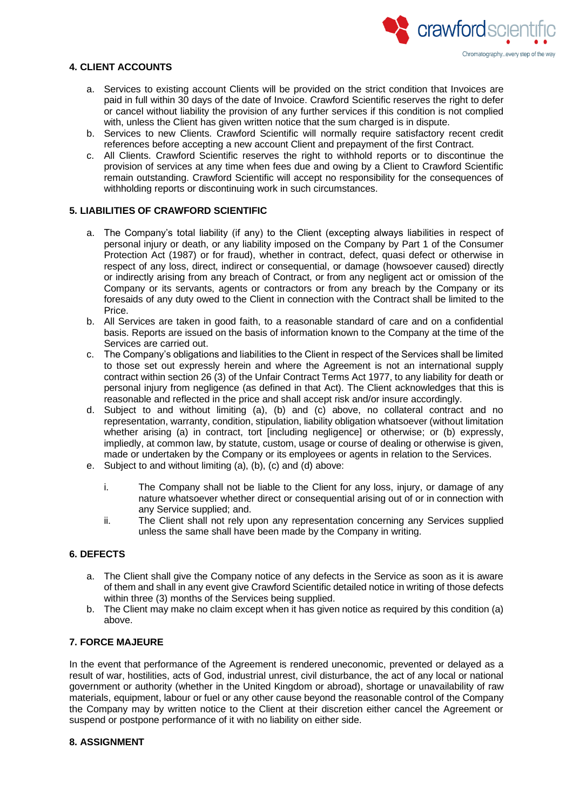

# **4. CLIENT ACCOUNTS**

- a. Services to existing account Clients will be provided on the strict condition that Invoices are paid in full within 30 days of the date of Invoice. Crawford Scientific reserves the right to defer or cancel without liability the provision of any further services if this condition is not complied with, unless the Client has given written notice that the sum charged is in dispute.
- b. Services to new Clients. Crawford Scientific will normally require satisfactory recent credit references before accepting a new account Client and prepayment of the first Contract.
- c. All Clients. Crawford Scientific reserves the right to withhold reports or to discontinue the provision of services at any time when fees due and owing by a Client to Crawford Scientific remain outstanding. Crawford Scientific will accept no responsibility for the consequences of withholding reports or discontinuing work in such circumstances.

# **5. LIABILITIES OF CRAWFORD SCIENTIFIC**

- a. The Company's total liability (if any) to the Client (excepting always liabilities in respect of personal injury or death, or any liability imposed on the Company by Part 1 of the Consumer Protection Act (1987) or for fraud), whether in contract, defect, quasi defect or otherwise in respect of any loss, direct, indirect or consequential, or damage (howsoever caused) directly or indirectly arising from any breach of Contract, or from any negligent act or omission of the Company or its servants, agents or contractors or from any breach by the Company or its foresaids of any duty owed to the Client in connection with the Contract shall be limited to the Price.
- b. All Services are taken in good faith, to a reasonable standard of care and on a confidential basis. Reports are issued on the basis of information known to the Company at the time of the Services are carried out.
- c. The Company's obligations and liabilities to the Client in respect of the Services shall be limited to those set out expressly herein and where the Agreement is not an international supply contract within section 26 (3) of the Unfair Contract Terms Act 1977, to any liability for death or personal injury from negligence (as defined in that Act). The Client acknowledges that this is reasonable and reflected in the price and shall accept risk and/or insure accordingly.
- d. Subject to and without limiting (a), (b) and (c) above, no collateral contract and no representation, warranty, condition, stipulation, liability obligation whatsoever (without limitation whether arising (a) in contract, tort [including negligence] or otherwise; or (b) expressly, impliedly, at common law, by statute, custom, usage or course of dealing or otherwise is given, made or undertaken by the Company or its employees or agents in relation to the Services.
- e. Subject to and without limiting (a), (b), (c) and (d) above:
	- i. The Company shall not be liable to the Client for any loss, injury, or damage of any nature whatsoever whether direct or consequential arising out of or in connection with any Service supplied; and.
	- ii. The Client shall not rely upon any representation concerning any Services supplied unless the same shall have been made by the Company in writing.

# **6. DEFECTS**

- a. The Client shall give the Company notice of any defects in the Service as soon as it is aware of them and shall in any event give Crawford Scientific detailed notice in writing of those defects within three (3) months of the Services being supplied.
- b. The Client may make no claim except when it has given notice as required by this condition (a) above.

## **7. FORCE MAJEURE**

In the event that performance of the Agreement is rendered uneconomic, prevented or delayed as a result of war, hostilities, acts of God, industrial unrest, civil disturbance, the act of any local or national government or authority (whether in the United Kingdom or abroad), shortage or unavailability of raw materials, equipment, labour or fuel or any other cause beyond the reasonable control of the Company the Company may by written notice to the Client at their discretion either cancel the Agreement or suspend or postpone performance of it with no liability on either side.

# **8. ASSIGNMENT**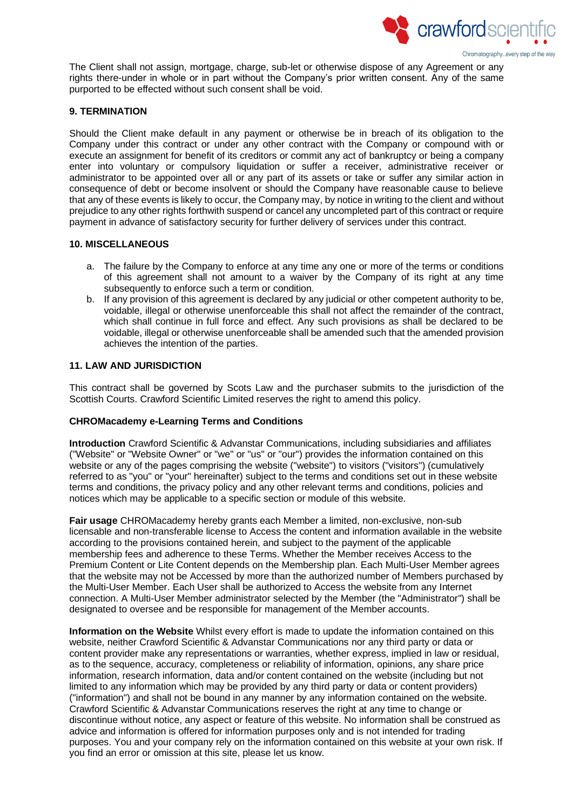

The Client shall not assign, mortgage, charge, sub-let or otherwise dispose of any Agreement or any rights there-under in whole or in part without the Company's prior written consent. Any of the same purported to be effected without such consent shall be void.

# **9. TERMINATION**

Should the Client make default in any payment or otherwise be in breach of its obligation to the Company under this contract or under any other contract with the Company or compound with or execute an assignment for benefit of its creditors or commit any act of bankruptcy or being a company enter into voluntary or compulsory liquidation or suffer a receiver, administrative receiver or administrator to be appointed over all or any part of its assets or take or suffer any similar action in consequence of debt or become insolvent or should the Company have reasonable cause to believe that any of these events is likely to occur, the Company may, by notice in writing to the client and without prejudice to any other rights forthwith suspend or cancel any uncompleted part of this contract or require payment in advance of satisfactory security for further delivery of services under this contract.

#### **10. MISCELLANEOUS**

- a. The failure by the Company to enforce at any time any one or more of the terms or conditions of this agreement shall not amount to a waiver by the Company of its right at any time subsequently to enforce such a term or condition.
- b. If any provision of this agreement is declared by any judicial or other competent authority to be, voidable, illegal or otherwise unenforceable this shall not affect the remainder of the contract, which shall continue in full force and effect. Any such provisions as shall be declared to be voidable, illegal or otherwise unenforceable shall be amended such that the amended provision achieves the intention of the parties.

# **11. LAW AND JURISDICTION**

This contract shall be governed by Scots Law and the purchaser submits to the jurisdiction of the Scottish Courts. Crawford Scientific Limited reserves the right to amend this policy.

#### **CHROMacademy e-Learning Terms and Conditions**

**Introduction** Crawford Scientific & Advanstar Communications, including subsidiaries and affiliates ("Website" or "Website Owner" or "we" or "us" or "our") provides the information contained on this website or any of the pages comprising the website ("website") to visitors ("visitors") (cumulatively referred to as "you" or "your" hereinafter) subject to the terms and conditions set out in these website terms and conditions, the privacy policy and any other relevant terms and conditions, policies and notices which may be applicable to a specific section or module of this website.

**Fair usage** CHROMacademy hereby grants each Member a limited, non-exclusive, non-sub licensable and non-transferable license to Access the content and information available in the website according to the provisions contained herein, and subject to the payment of the applicable membership fees and adherence to these Terms. Whether the Member receives Access to the Premium Content or Lite Content depends on the Membership plan. Each Multi-User Member agrees that the website may not be Accessed by more than the authorized number of Members purchased by the Multi-User Member. Each User shall be authorized to Access the website from any Internet connection. A Multi-User Member administrator selected by the Member (the "Administrator") shall be designated to oversee and be responsible for management of the Member accounts.

**Information on the Website** Whilst every effort is made to update the information contained on this website, neither Crawford Scientific & Advanstar Communications nor any third party or data or content provider make any representations or warranties, whether express, implied in law or residual, as to the sequence, accuracy, completeness or reliability of information, opinions, any share price information, research information, data and/or content contained on the website (including but not limited to any information which may be provided by any third party or data or content providers) ("information") and shall not be bound in any manner by any information contained on the website. Crawford Scientific & Advanstar Communications reserves the right at any time to change or discontinue without notice, any aspect or feature of this website. No information shall be construed as advice and information is offered for information purposes only and is not intended for trading purposes. You and your company rely on the information contained on this website at your own risk. If you find an error or omission at this site, please let us know.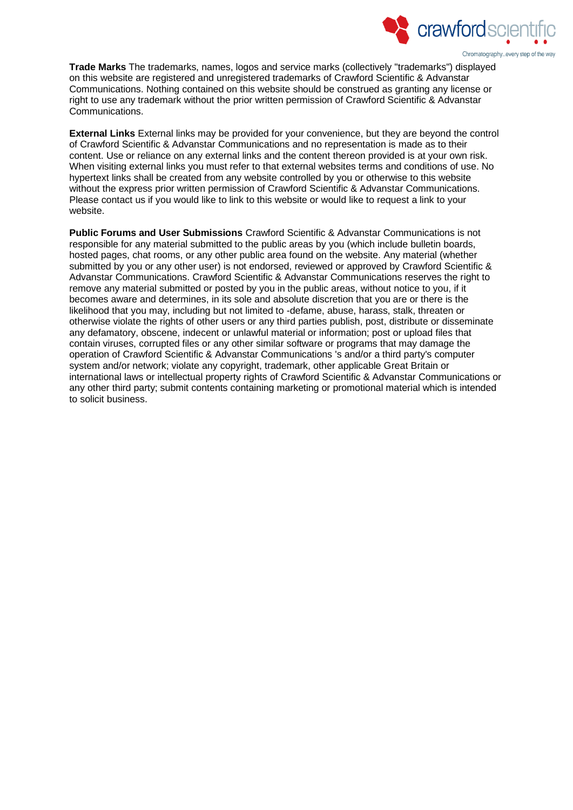

**Trade Marks** The trademarks, names, logos and service marks (collectively "trademarks") displayed on this website are registered and unregistered trademarks of Crawford Scientific & Advanstar Communications. Nothing contained on this website should be construed as granting any license or right to use any trademark without the prior written permission of Crawford Scientific & Advanstar Communications.

**External Links** External links may be provided for your convenience, but they are beyond the control of Crawford Scientific & Advanstar Communications and no representation is made as to their content. Use or reliance on any external links and the content thereon provided is at your own risk. When visiting external links you must refer to that external websites terms and conditions of use. No hypertext links shall be created from any website controlled by you or otherwise to this website without the express prior written permission of Crawford Scientific & Advanstar Communications. Please contact us if you would like to link to this website or would like to request a link to your website.

**Public Forums and User Submissions** Crawford Scientific & Advanstar Communications is not responsible for any material submitted to the public areas by you (which include bulletin boards, hosted pages, chat rooms, or any other public area found on the website. Any material (whether submitted by you or any other user) is not endorsed, reviewed or approved by Crawford Scientific & Advanstar Communications. Crawford Scientific & Advanstar Communications reserves the right to remove any material submitted or posted by you in the public areas, without notice to you, if it becomes aware and determines, in its sole and absolute discretion that you are or there is the likelihood that you may, including but not limited to -defame, abuse, harass, stalk, threaten or otherwise violate the rights of other users or any third parties publish, post, distribute or disseminate any defamatory, obscene, indecent or unlawful material or information; post or upload files that contain viruses, corrupted files or any other similar software or programs that may damage the operation of Crawford Scientific & Advanstar Communications 's and/or a third party's computer system and/or network; violate any copyright, trademark, other applicable Great Britain or international laws or intellectual property rights of Crawford Scientific & Advanstar Communications or any other third party; submit contents containing marketing or promotional material which is intended to solicit business.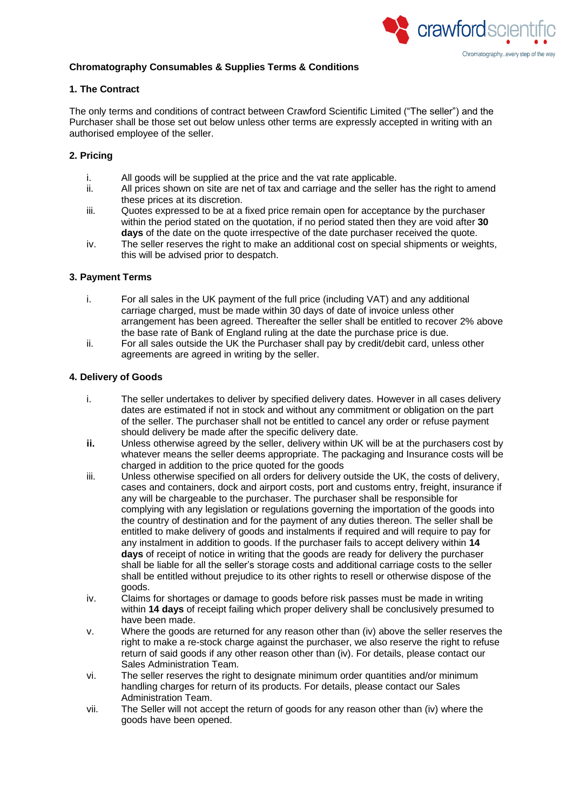

# **Chromatography Consumables & Supplies Terms & Conditions**

# **1. The Contract**

The only terms and conditions of contract between Crawford Scientific Limited ("The seller") and the Purchaser shall be those set out below unless other terms are expressly accepted in writing with an authorised employee of the seller.

# **2. Pricing**

- i. All goods will be supplied at the price and the vat rate applicable.
- ii. All prices shown on site are net of tax and carriage and the seller has the right to amend these prices at its discretion.
- iii. Quotes expressed to be at a fixed price remain open for acceptance by the purchaser within the period stated on the quotation, if no period stated then they are void after **30 days** of the date on the quote irrespective of the date purchaser received the quote.
- iv. The seller reserves the right to make an additional cost on special shipments or weights, this will be advised prior to despatch.

#### **3. Payment Terms**

- i. For all sales in the UK payment of the full price (including VAT) and any additional carriage charged, must be made within 30 days of date of invoice unless other arrangement has been agreed. Thereafter the seller shall be entitled to recover 2% above the base rate of Bank of England ruling at the date the purchase price is due.
- ii. For all sales outside the UK the Purchaser shall pay by credit/debit card, unless other agreements are agreed in writing by the seller.

# **4. Delivery of Goods**

- i. The seller undertakes to deliver by specified delivery dates. However in all cases delivery dates are estimated if not in stock and without any commitment or obligation on the part of the seller. The purchaser shall not be entitled to cancel any order or refuse payment should delivery be made after the specific delivery date.
- **ii.** Unless otherwise agreed by the seller, delivery within UK will be at the purchasers cost by whatever means the seller deems appropriate. The packaging and Insurance costs will be charged in addition to the price quoted for the goods
- iii. Unless otherwise specified on all orders for delivery outside the UK, the costs of delivery, cases and containers, dock and airport costs, port and customs entry, freight, insurance if any will be chargeable to the purchaser. The purchaser shall be responsible for complying with any legislation or regulations governing the importation of the goods into the country of destination and for the payment of any duties thereon. The seller shall be entitled to make delivery of goods and instalments if required and will require to pay for any instalment in addition to goods. If the purchaser fails to accept delivery within **14 days** of receipt of notice in writing that the goods are ready for delivery the purchaser shall be liable for all the seller's storage costs and additional carriage costs to the seller shall be entitled without prejudice to its other rights to resell or otherwise dispose of the goods.
- iv. Claims for shortages or damage to goods before risk passes must be made in writing within **14 days** of receipt failing which proper delivery shall be conclusively presumed to have been made.
- v. Where the goods are returned for any reason other than (iv) above the seller reserves the right to make a re-stock charge against the purchaser, we also reserve the right to refuse return of said goods if any other reason other than (iv). For details, please contact our Sales Administration Team.
- vi. The seller reserves the right to designate minimum order quantities and/or minimum handling charges for return of its products. For details, please contact our Sales Administration Team.
- vii. The Seller will not accept the return of goods for any reason other than (iv) where the goods have been opened.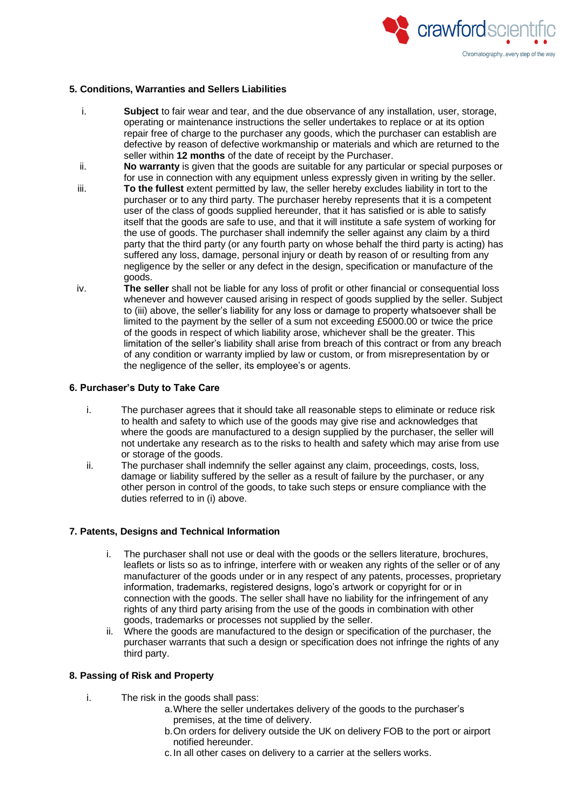

## **5. Conditions, Warranties and Sellers Liabilities**

- i. **Subject** to fair wear and tear, and the due observance of any installation, user, storage, operating or maintenance instructions the seller undertakes to replace or at its option repair free of charge to the purchaser any goods, which the purchaser can establish are defective by reason of defective workmanship or materials and which are returned to the seller within **12 months** of the date of receipt by the Purchaser.
- ii. **No warranty** is given that the goods are suitable for any particular or special purposes or for use in connection with any equipment unless expressly given in writing by the seller.
- iii. **To the fullest** extent permitted by law, the seller hereby excludes liability in tort to the purchaser or to any third party. The purchaser hereby represents that it is a competent user of the class of goods supplied hereunder, that it has satisfied or is able to satisfy itself that the goods are safe to use, and that it will institute a safe system of working for the use of goods. The purchaser shall indemnify the seller against any claim by a third party that the third party (or any fourth party on whose behalf the third party is acting) has suffered any loss, damage, personal injury or death by reason of or resulting from any negligence by the seller or any defect in the design, specification or manufacture of the goods.
- iv. **The seller** shall not be liable for any loss of profit or other financial or consequential loss whenever and however caused arising in respect of goods supplied by the seller. Subject to (iii) above, the seller's liability for any loss or damage to property whatsoever shall be limited to the payment by the seller of a sum not exceeding £5000.00 or twice the price of the goods in respect of which liability arose, whichever shall be the greater. This limitation of the seller's liability shall arise from breach of this contract or from any breach of any condition or warranty implied by law or custom, or from misrepresentation by or the negligence of the seller, its employee's or agents.

# **6. Purchaser's Duty to Take Care**

- i. The purchaser agrees that it should take all reasonable steps to eliminate or reduce risk to health and safety to which use of the goods may give rise and acknowledges that where the goods are manufactured to a design supplied by the purchaser, the seller will not undertake any research as to the risks to health and safety which may arise from use or storage of the goods.
- ii. The purchaser shall indemnify the seller against any claim, proceedings, costs, loss, damage or liability suffered by the seller as a result of failure by the purchaser, or any other person in control of the goods, to take such steps or ensure compliance with the duties referred to in (i) above.

#### **7. Patents, Designs and Technical Information**

- i. The purchaser shall not use or deal with the goods or the sellers literature, brochures, leaflets or lists so as to infringe, interfere with or weaken any rights of the seller or of any manufacturer of the goods under or in any respect of any patents, processes, proprietary information, trademarks, registered designs, logo's artwork or copyright for or in connection with the goods. The seller shall have no liability for the infringement of any rights of any third party arising from the use of the goods in combination with other goods, trademarks or processes not supplied by the seller.
- ii. Where the goods are manufactured to the design or specification of the purchaser, the purchaser warrants that such a design or specification does not infringe the rights of any third party.

#### **8. Passing of Risk and Property**

- i. The risk in the goods shall pass:
	- a.Where the seller undertakes delivery of the goods to the purchaser's premises, at the time of delivery.
	- b.On orders for delivery outside the UK on delivery FOB to the port or airport notified hereunder.
	- c.In all other cases on delivery to a carrier at the sellers works.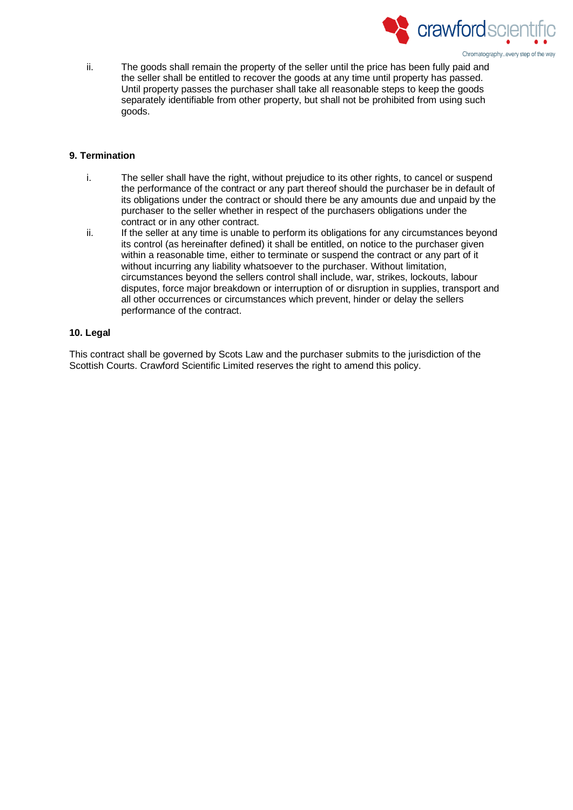

ii. The goods shall remain the property of the seller until the price has been fully paid and the seller shall be entitled to recover the goods at any time until property has passed. Until property passes the purchaser shall take all reasonable steps to keep the goods separately identifiable from other property, but shall not be prohibited from using such goods.

# **9. Termination**

- i. The seller shall have the right, without prejudice to its other rights, to cancel or suspend the performance of the contract or any part thereof should the purchaser be in default of its obligations under the contract or should there be any amounts due and unpaid by the purchaser to the seller whether in respect of the purchasers obligations under the contract or in any other contract.
- ii. If the seller at any time is unable to perform its obligations for any circumstances beyond its control (as hereinafter defined) it shall be entitled, on notice to the purchaser given within a reasonable time, either to terminate or suspend the contract or any part of it without incurring any liability whatsoever to the purchaser. Without limitation, circumstances beyond the sellers control shall include, war, strikes, lockouts, labour disputes, force major breakdown or interruption of or disruption in supplies, transport and all other occurrences or circumstances which prevent, hinder or delay the sellers performance of the contract.

## **10. Legal**

This contract shall be governed by Scots Law and the purchaser submits to the jurisdiction of the Scottish Courts. Crawford Scientific Limited reserves the right to amend this policy.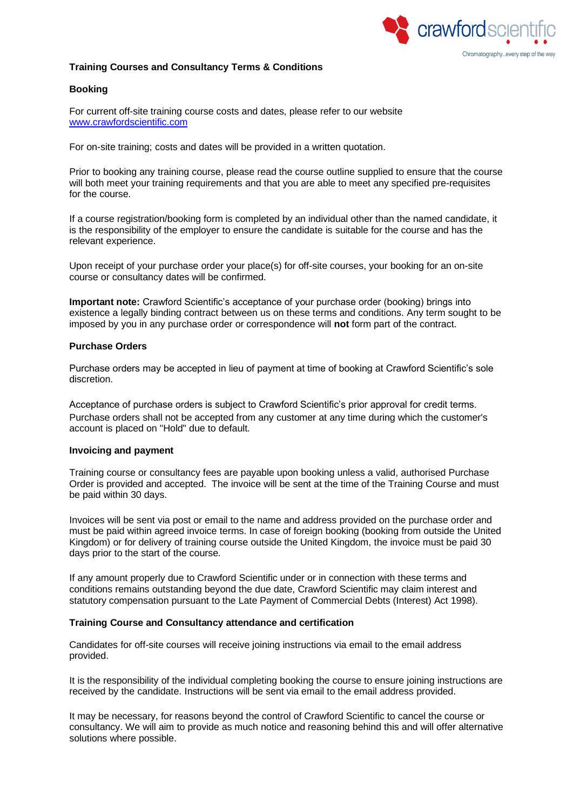

# **Training Courses and Consultancy Terms & Conditions**

# **Booking**

For current off-site training course costs and dates, please refer to our website [www.crawfordscientific.com](http://www.crawfordscientific.com/)

For on-site training; costs and dates will be provided in a written quotation.

Prior to booking any training course, please read the course outline supplied to ensure that the course will both meet your training requirements and that you are able to meet any specified pre-requisites for the course.

If a course registration/booking form is completed by an individual other than the named candidate, it is the responsibility of the employer to ensure the candidate is suitable for the course and has the relevant experience.

Upon receipt of your purchase order your place(s) for off-site courses, your booking for an on-site course or consultancy dates will be confirmed.

**Important note:** Crawford Scientific's acceptance of your purchase order (booking) brings into existence a legally binding contract between us on these terms and conditions. Any term sought to be imposed by you in any purchase order or correspondence will **not** form part of the contract.

#### **Purchase Orders**

Purchase orders may be accepted in lieu of payment at time of booking at Crawford Scientific's sole discretion.

Acceptance of purchase orders is subject to Crawford Scientific's prior approval for credit terms. Purchase orders shall not be accepted from any customer at any time during which the customer's account is placed on "Hold" due to default.

#### **Invoicing and payment**

Training course or consultancy fees are payable upon booking unless a valid, authorised Purchase Order is provided and accepted. The invoice will be sent at the time of the Training Course and must be paid within 30 days.

Invoices will be sent via post or email to the name and address provided on the purchase order and must be paid within agreed invoice terms. In case of foreign booking (booking from outside the United Kingdom) or for delivery of training course outside the United Kingdom, the invoice must be paid 30 days prior to the start of the course.

If any amount properly due to Crawford Scientific under or in connection with these terms and conditions remains outstanding beyond the due date, Crawford Scientific may claim interest and statutory compensation pursuant to the Late Payment of Commercial Debts (Interest) Act 1998).

#### **Training Course and Consultancy attendance and certification**

Candidates for off-site courses will receive joining instructions via email to the email address provided.

It is the responsibility of the individual completing booking the course to ensure joining instructions are received by the candidate. Instructions will be sent via email to the email address provided.

It may be necessary, for reasons beyond the control of Crawford Scientific to cancel the course or consultancy. We will aim to provide as much notice and reasoning behind this and will offer alternative solutions where possible.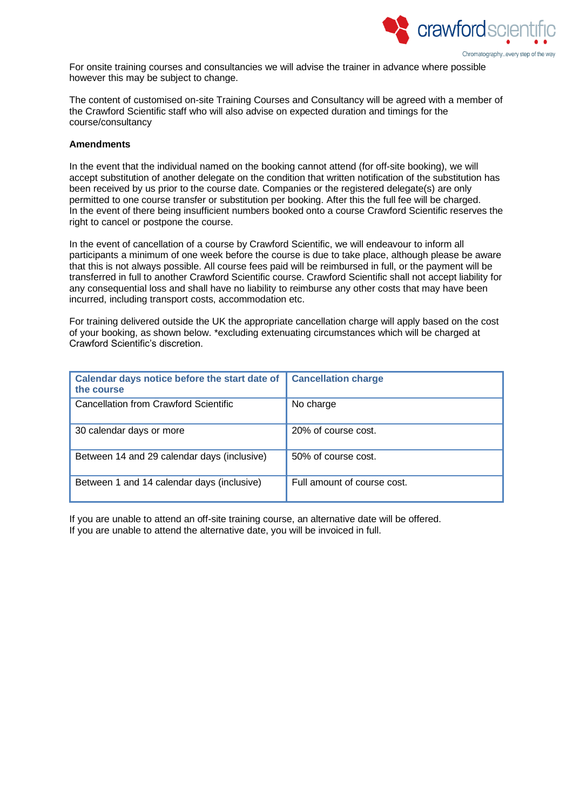

For onsite training courses and consultancies we will advise the trainer in advance where possible however this may be subject to change.

The content of customised on-site Training Courses and Consultancy will be agreed with a member of the Crawford Scientific staff who will also advise on expected duration and timings for the course/consultancy

#### **Amendments**

In the event that the individual named on the booking cannot attend (for off-site booking), we will accept substitution of another delegate on the condition that written notification of the substitution has been received by us prior to the course date. Companies or the registered delegate(s) are only permitted to one course transfer or substitution per booking. After this the full fee will be charged. In the event of there being insufficient numbers booked onto a course Crawford Scientific reserves the right to cancel or postpone the course.

In the event of cancellation of a course by Crawford Scientific, we will endeavour to inform all participants a minimum of one week before the course is due to take place, although please be aware that this is not always possible. All course fees paid will be reimbursed in full, or the payment will be transferred in full to another Crawford Scientific course. Crawford Scientific shall not accept liability for any consequential loss and shall have no liability to reimburse any other costs that may have been incurred, including transport costs, accommodation etc.

For training delivered outside the UK the appropriate cancellation charge will apply based on the cost of your booking, as shown below. \*excluding extenuating circumstances which will be charged at Crawford Scientific's discretion.

| Calendar days notice before the start date of<br>the course | <b>Cancellation charge</b>  |
|-------------------------------------------------------------|-----------------------------|
| Cancellation from Crawford Scientific                       | No charge                   |
| 30 calendar days or more                                    | 20% of course cost.         |
| Between 14 and 29 calendar days (inclusive)                 | 50% of course cost.         |
| Between 1 and 14 calendar days (inclusive)                  | Full amount of course cost. |

If you are unable to attend an off-site training course, an alternative date will be offered. If you are unable to attend the alternative date, you will be invoiced in full.